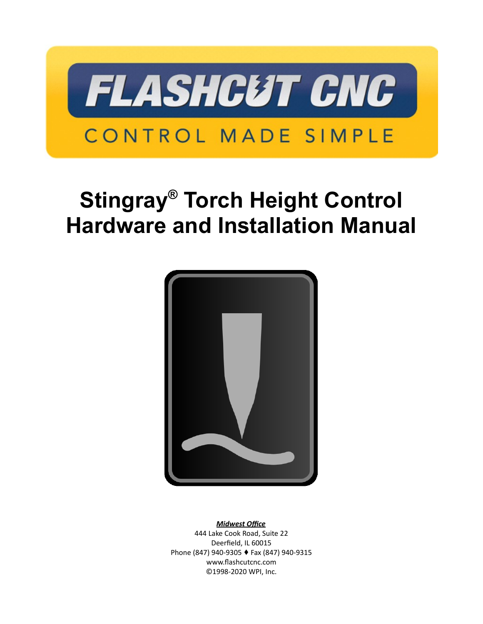

# **Stingray® Torch Height Control Hardware and Installation Manual**



*Midwest Office*

444 Lake Cook Road, Suite 22 Deerfield, IL 60015 Phone (847) 940-9305 + Fax (847) 940-9315 www.flashcutcnc.com ©1998-2020 WPI, Inc.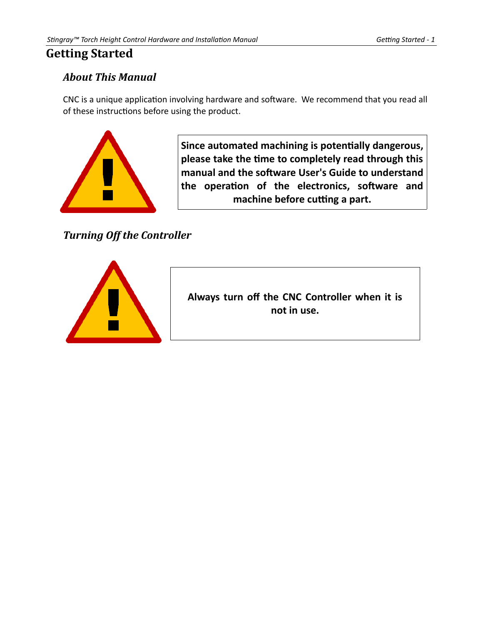# <span id="page-3-2"></span>**Getting Started**

# <span id="page-3-1"></span>*About This Manual*

CNC is a unique application involving hardware and software. We recommend that you read all of these instructions before using the product.



**Since automated machining is potentially dangerous, please take the time to completely read through this manual and the software User's Guide to understand the operation of the electronics, software and machine before cutting a part.**

<span id="page-3-0"></span>*Turning Off the Controller*



**Always turn off the CNC Controller when it is not in use.**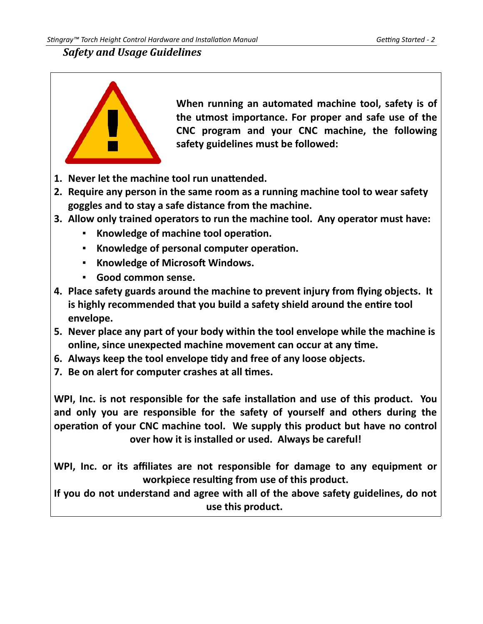## <span id="page-4-0"></span>*Safety and Usage Guidelines*



**When running an automated machine tool, safety is of the utmost importance. For proper and safe use of the CNC program and your CNC machine, the following safety guidelines must be followed:** 

- **1. Never let the machine tool run unattended.**
- **2. Require any person in the same room as a running machine tool to wear safety goggles and to stay a safe distance from the machine.**
- **3. Allow only trained operators to run the machine tool. Any operator must have:**
	- **Knowledge of machine tool operation.**
	- **Knowledge of personal computer operation.**
	- **Knowledge of Microsoft Windows.**
	- **Good common sense.**
- **4. Place safety guards around the machine to prevent injury from flying objects. It is highly recommended that you build a safety shield around the entire tool envelope.**
- **5. Never place any part of your body within the tool envelope while the machine is online, since unexpected machine movement can occur at any time.**
- **6. Always keep the tool envelope tidy and free of any loose objects.**
- **7. Be on alert for computer crashes at all times.**

**WPI, Inc. is not responsible for the safe installation and use of this product. You and only you are responsible for the safety of yourself and others during the operation of your CNC machine tool. We supply this product but have no control over how it is installed or used. Always be careful!**

**WPI, Inc. or its affiliates are not responsible for damage to any equipment or workpiece resulting from use of this product.**

**If you do not understand and agree with all of the above safety guidelines, do not use this product.**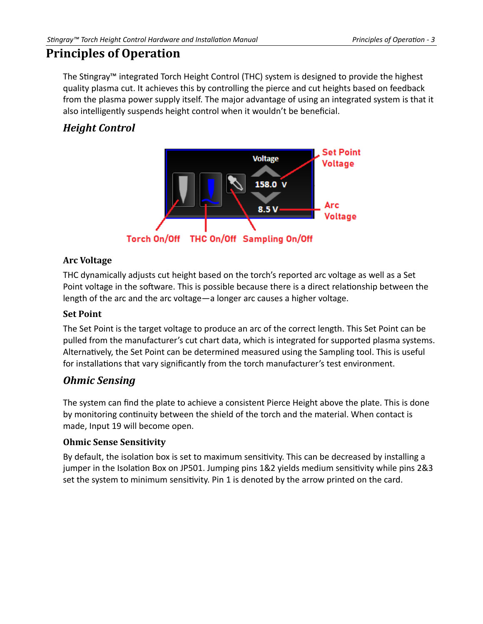# <span id="page-5-5"></span>**Principles of Operation**

The Stingray™ integrated Torch Height Control (THC) system is designed to provide the highest quality plasma cut. It achieves this by controlling the pierce and cut heights based on feedback from the plasma power supply itself. The major advantage of using an integrated system is that it also intelligently suspends height control when it wouldn't be beneficial.

# <span id="page-5-4"></span>*Height Control*



#### <span id="page-5-3"></span>**Arc Voltage**

THC dynamically adjusts cut height based on the torch's reported arc voltage as well as a Set Point voltage in the software. This is possible because there is a direct relationship between the length of the arc and the arc voltage—a longer arc causes a higher voltage.

#### <span id="page-5-2"></span>**Set Point**

The Set Point is the target voltage to produce an arc of the correct length. This Set Point can be pulled from the manufacturer's cut chart data, which is integrated for supported plasma systems. Alternatively, the Set Point can be determined measured using the Sampling tool. This is useful for installations that vary significantly from the torch manufacturer's test environment.

# <span id="page-5-1"></span>*Ohmic Sensing*

The system can find the plate to achieve a consistent Pierce Height above the plate. This is done by monitoring continuity between the shield of the torch and the material. When contact is made, Input 19 will become open.

#### <span id="page-5-0"></span>**Ohmic Sense Sensitivity**

By default, the isolation box is set to maximum sensitivity. This can be decreased by installing a jumper in the Isolation Box on JP501. Jumping pins 1&2 yields medium sensitivity while pins 2&3 set the system to minimum sensitivity. Pin 1 is denoted by the arrow printed on the card.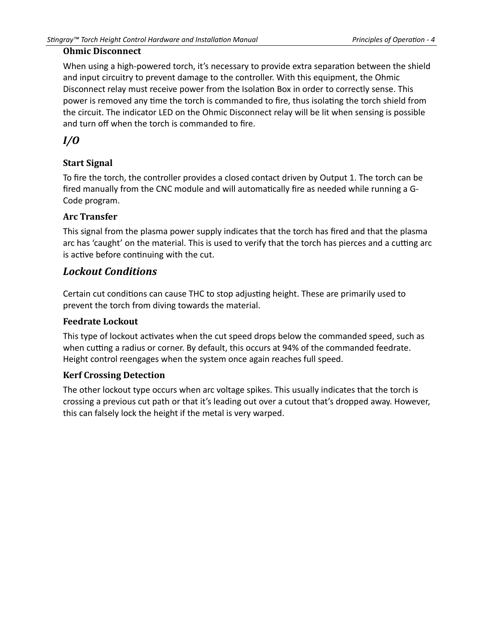#### <span id="page-6-6"></span>**Ohmic Disconnect**

When using a high-powered torch, it's necessary to provide extra separation between the shield and input circuitry to prevent damage to the controller. With this equipment, the Ohmic Disconnect relay must receive power from the Isolation Box in order to correctly sense. This power is removed any time the torch is commanded to fire, thus isolating the torch shield from the circuit. The indicator LED on the Ohmic Disconnect relay will be lit when sensing is possible and turn off when the torch is commanded to fire.

# <span id="page-6-5"></span>*I/O*

#### <span id="page-6-4"></span>**Start Signal**

To fire the torch, the controller provides a closed contact driven by Output 1. The torch can be fired manually from the CNC module and will automatically fire as needed while running a G-Code program.

#### <span id="page-6-3"></span>**Arc Transfer**

This signal from the plasma power supply indicates that the torch has fired and that the plasma arc has 'caught' on the material. This is used to verify that the torch has pierces and a cutting arc is active before continuing with the cut.

## <span id="page-6-2"></span>*Lockout Conditions*

Certain cut conditions can cause THC to stop adjusting height. These are primarily used to prevent the torch from diving towards the material.

#### <span id="page-6-1"></span>**Feedrate Lockout**

This type of lockout activates when the cut speed drops below the commanded speed, such as when cutting a radius or corner. By default, this occurs at 94% of the commanded feedrate. Height control reengages when the system once again reaches full speed.

#### <span id="page-6-0"></span>**Kerf Crossing Detection**

The other lockout type occurs when arc voltage spikes. This usually indicates that the torch is crossing a previous cut path or that it's leading out over a cutout that's dropped away. However, this can falsely lock the height if the metal is very warped.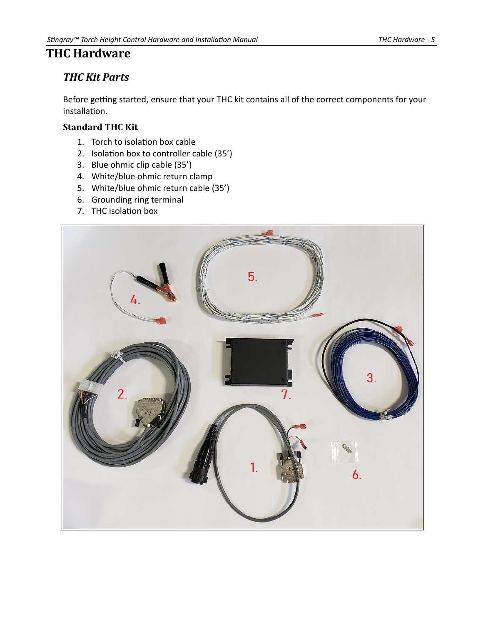# <span id="page-7-2"></span>**THC Hardware**

# <span id="page-7-1"></span>*THC Kit Parts*

Before getting started, ensure that your THC kit contains all of the correct components for your installation.

#### <span id="page-7-0"></span>**Standard THC Kit**

- 1. Torch to isolation box cable
- 2. Isolation box to controller cable (35')
- 3. Blue ohmic clip cable (35')
- 4. White/blue ohmic return clamp
- 5. White/blue ohmic return cable (35')
- 6. Grounding ring terminal
- 7. THC isolation box

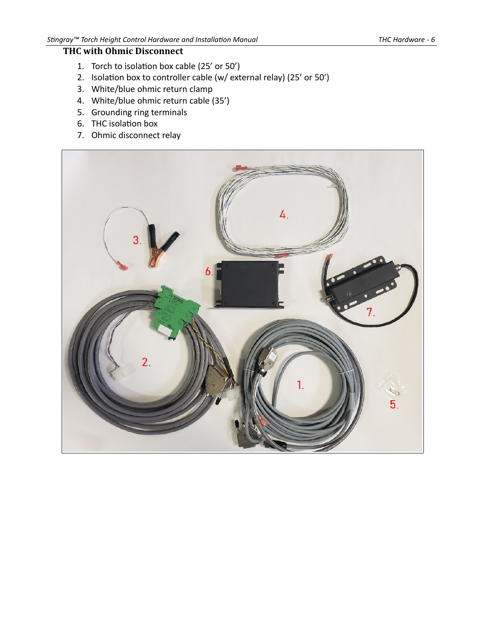#### <span id="page-8-0"></span>**THC with Ohmic Disconnect**

- 1. Torch to isolation box cable (25' or 50')
- 2. Isolation box to controller cable (w/ external relay) (25' or 50')
- 3. White/blue ohmic return clamp
- 4. White/blue ohmic return cable (35')
- 5. Grounding ring terminals
- 6. THC isolation box
- 7. Ohmic disconnect relay

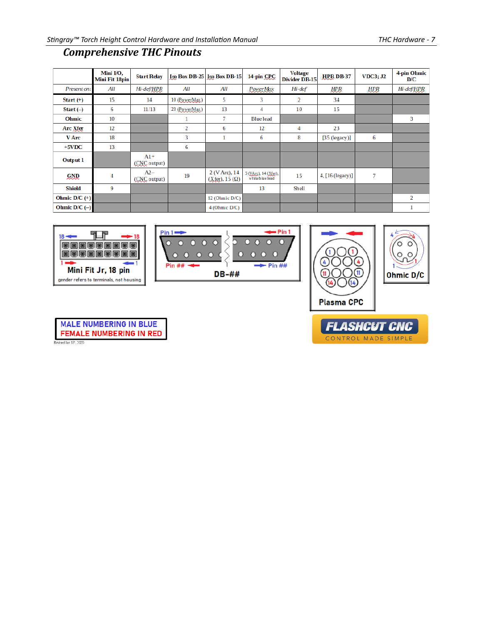# <span id="page-9-0"></span>*Comprehensive THC Pinouts*

|                   | Mini I/O,<br>Mini Fit 18pin | <b>Start Relay</b>    |               | <b>Iso Box DB-25   Iso Box DB-15  </b> | 14-pin CPC                              | <b>Voltage</b><br>Divider DB-15 | <b>HPR DB-37</b> | <b>VDC3</b> ; J2 | 4-pin Ohmic<br>D/C |
|-------------------|-----------------------------|-----------------------|---------------|----------------------------------------|-----------------------------------------|---------------------------------|------------------|------------------|--------------------|
| Present on:       | All                         | Hi-def/HPR            | All           | All                                    | PowerMax                                | Hi-def                          | HPR              | HPR              | Hi-def/HPR         |
| Start $(+)$       | 15                          | 14                    | 10 (PowerMax) | 5                                      | 3                                       | $\overline{2}$                  | 34               |                  |                    |
| Start $(-)$       | 6                           | 11/13                 | 23 (PowerMax) | 13                                     | 4                                       | 10                              | 15               |                  |                    |
| <b>Ohmic</b>      | 10                          |                       | 1             | 7                                      | <b>Blue lead</b>                        |                                 |                  |                  | 3                  |
| Arc Xfer          | 12                          |                       | 2             | 6                                      | 12                                      | 4                               | 23               |                  |                    |
| V Arc             | 18                          |                       | 3             |                                        | 6                                       | 8                               | $[35$ (legacy)]  | 6                |                    |
| $+5VDC$           | 13                          |                       | 6             |                                        |                                         |                                 |                  |                  |                    |
| Output 1          |                             | $A1+$<br>(CNC output) |               |                                        |                                         |                                 |                  |                  |                    |
| <b>GND</b>        | 4                           | $A2-$<br>(CNC output) | 19            | 2 (V Arc), 14<br>$(X$ fer), 15 $(Q)$   | 5 (VArc), 14 (Xfer),<br>white/blue lead | 15                              | 4, [16 (legacy)] | 7                |                    |
| Shield            | 9                           |                       |               |                                        | 13                                      | Shell                           |                  |                  |                    |
| Ohmic $D/C$ $(+)$ |                             |                       |               | 12 (Ohmic $D/C$ )                      |                                         |                                 |                  |                  | $\overline{2}$     |
| Ohmic $D/C$ (-)   |                             |                       |               | $4$ (Ohmic D/C)                        |                                         |                                 |                  |                  | 1                  |



| <de=pin 1<="" th=""></de=pin>                                            |
|--------------------------------------------------------------------------|
| 0 <sub>0</sub><br>$\circ$<br>$\Omega$<br>$\overline{\Omega}$<br>ດ ລ<br>o |
| O<br>n                                                                   |
| $-P$ in ##<br>$Pin ## - 4$                                               |
| $DB - ##$                                                                |





**MALE NUMBERING IN BLUE FEMALE NUMBERING IN RED** Revised Jan 15<sup>+</sup>, 2020

**FLASHCUT CNC** CONTROL MADE SIMPLE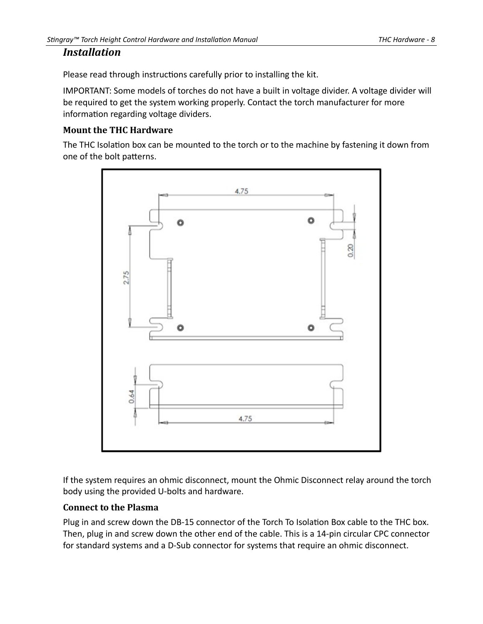#### <span id="page-10-2"></span>*Installation*

Please read through instructions carefully prior to installing the kit.

IMPORTANT: Some models of torches do not have a built in voltage divider. A voltage divider will be required to get the system working properly. Contact the torch manufacturer for more information regarding voltage dividers.

#### <span id="page-10-1"></span>**Mount the THC Hardware**

The THC Isolation box can be mounted to the torch or to the machine by fastening it down from one of the bolt patterns.



If the system requires an ohmic disconnect, mount the Ohmic Disconnect relay around the torch body using the provided U-bolts and hardware.

#### <span id="page-10-0"></span>**Connect to the Plasma**

Plug in and screw down the DB-15 connector of the Torch To Isolation Box cable to the THC box. Then, plug in and screw down the other end of the cable. This is a 14-pin circular CPC connector for standard systems and a D-Sub connector for systems that require an ohmic disconnect.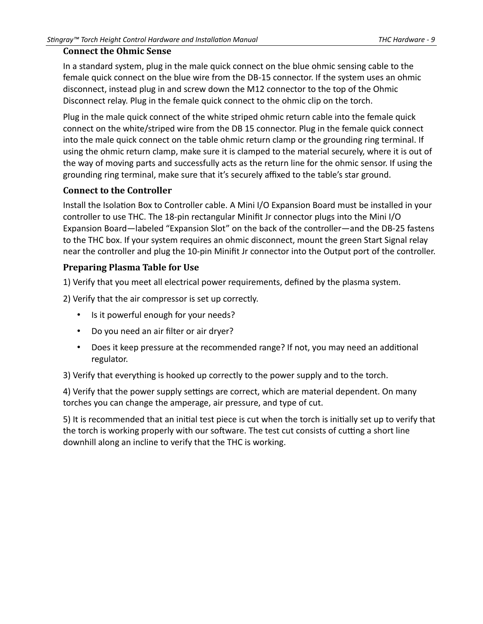#### <span id="page-11-2"></span>**Connect the Ohmic Sense**

In a standard system, plug in the male quick connect on the blue ohmic sensing cable to the female quick connect on the blue wire from the DB-15 connector. If the system uses an ohmic disconnect, instead plug in and screw down the M12 connector to the top of the Ohmic Disconnect relay. Plug in the female quick connect to the ohmic clip on the torch.

Plug in the male quick connect of the white striped ohmic return cable into the female quick connect on the white/striped wire from the DB 15 connector. Plug in the female quick connect into the male quick connect on the table ohmic return clamp or the grounding ring terminal. If using the ohmic return clamp, make sure it is clamped to the material securely, where it is out of the way of moving parts and successfully acts as the return line for the ohmic sensor. If using the grounding ring terminal, make sure that it's securely affixed to the table's star ground.

#### <span id="page-11-1"></span>**Connect to the Controller**

Install the Isolation Box to Controller cable. A Mini I/O Expansion Board must be installed in your controller to use THC. The 18-pin rectangular Minifit Jr connector plugs into the Mini I/O Expansion Board—labeled "Expansion Slot" on the back of the controller—and the DB-25 fastens to the THC box. If your system requires an ohmic disconnect, mount the green Start Signal relay near the controller and plug the 10-pin Minifit Jr connector into the Output port of the controller.

#### <span id="page-11-0"></span>**Preparing Plasma Table for Use**

1) Verify that you meet all electrical power requirements, defined by the plasma system.

2) Verify that the air compressor is set up correctly.

- Is it powerful enough for your needs?
- Do you need an air filter or air dryer?
- Does it keep pressure at the recommended range? If not, you may need an additional regulator.

3) Verify that everything is hooked up correctly to the power supply and to the torch.

4) Verify that the power supply settings are correct, which are material dependent. On many torches you can change the amperage, air pressure, and type of cut.

5) It is recommended that an initial test piece is cut when the torch is initially set up to verify that the torch is working properly with our software. The test cut consists of cutting a short line downhill along an incline to verify that the THC is working.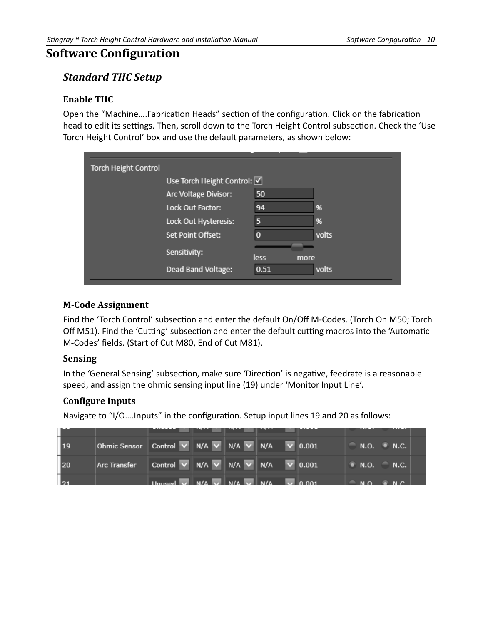# <span id="page-12-5"></span>**Software Configuration**

## <span id="page-12-4"></span>*Standard THC Setup*

#### <span id="page-12-3"></span>**Enable THC**

Open the "Machine….Fabrication Heads" section of the configuration. Click on the fabrication head to edit its settings. Then, scroll down to the Torch Height Control subsection. Check the 'Use Torch Height Control' box and use the default parameters, as shown below:

| <b>Torch Height Control</b> |                             |              |       |
|-----------------------------|-----------------------------|--------------|-------|
|                             | Use Torch Height Control: V |              |       |
|                             | Arc Voltage Divisor:        | 50           |       |
|                             | Lock Out Factor:            | 94           | 96    |
|                             | Lock Out Hysteresis:        | 5            | %     |
|                             | Set Point Offset:           |              | volts |
|                             | Sensitivity:                | less<br>more |       |
|                             | Dead Band Voltage:          | 0.51         | volts |
|                             |                             |              |       |

#### <span id="page-12-2"></span>**M-Code Assignment**

Find the 'Torch Control' subsection and enter the default On/Off M-Codes. (Torch On M50; Torch Off M51). Find the 'Cutting' subsection and enter the default cutting macros into the 'Automatic M-Codes' fields. (Start of Cut M80, End of Cut M81).

#### <span id="page-12-1"></span>**Sensing**

In the 'General Sensing' subsection, make sure 'Direction' is negative, feedrate is a reasonable speed, and assign the ohmic sensing input line (19) under 'Monitor Input Line'.

#### <span id="page-12-0"></span>**Configure Inputs**

Navigate to "I/O….Inputs" in the configuration. Setup input lines 19 and 20 as follows:

| $\vert$ 19        | Ohmic Sensor   Control v   N/A v   N/A v   N/A v   0.001 |                                                                                                         |  |  |                               | N.O. N.C. |
|-------------------|----------------------------------------------------------|---------------------------------------------------------------------------------------------------------|--|--|-------------------------------|-----------|
| 120               | Arc Transfer                                             | Control $\vee$ N/A $\vee$ N/A $\vee$ N/A $\vee$ 0.001                                                   |  |  | $\bullet$ N.O. $\bullet$ N.C. |           |
| $\mathbf{L}_{21}$ |                                                          | Unused $\overline{V}$ N/A $\overline{V}$ N/A $\overline{V}$ N/A $\overline{V}$ N/A $\overline{V}$ 0.001 |  |  | $M \cap R$ $M \cap R$         |           |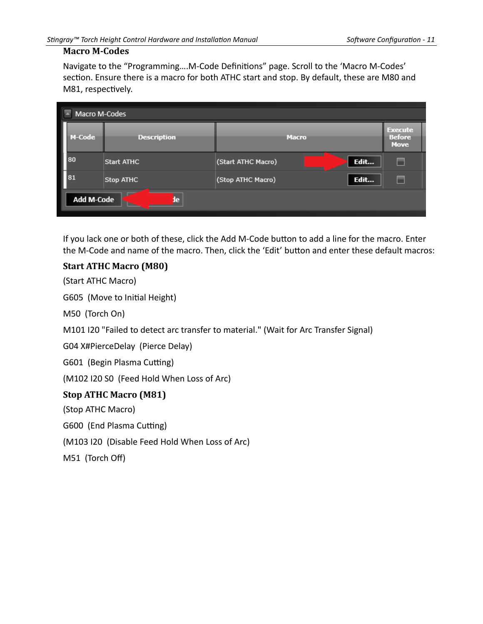#### <span id="page-13-2"></span>**Macro M-Codes**

Navigate to the "Programming….M-Code Definitions" page. Scroll to the 'Macro M-Codes' section. Ensure there is a macro for both ATHC start and stop. By default, these are M80 and M81, respectively.

|                         | Macro M-Codes      |                            |                                                |  |  |
|-------------------------|--------------------|----------------------------|------------------------------------------------|--|--|
| M-Code                  | <b>Description</b> | <b>Macro</b>               | <b>Execute</b><br><b>Before</b><br><b>Move</b> |  |  |
| 80                      | Start ATHC         | Edit<br>(Start ATHC Macro) | ٠                                              |  |  |
| 81                      | Stop ATHC          | Edit<br>(Stop ATHC Macro)  | ٠                                              |  |  |
| <b>Add M-Code</b><br>de |                    |                            |                                                |  |  |
|                         |                    |                            |                                                |  |  |

If you lack one or both of these, click the Add M-Code button to add a line for the macro. Enter the M-Code and name of the macro. Then, click the 'Edit' button and enter these default macros:

#### <span id="page-13-1"></span>**Start ATHC Macro (M80)**

(Start ATHC Macro)

G605 (Move to Initial Height)

M50 (Torch On)

M101 I20 "Failed to detect arc transfer to material." (Wait for Arc Transfer Signal)

G04 X#PierceDelay (Pierce Delay)

G601 (Begin Plasma Cutting)

(M102 I20 S0 (Feed Hold When Loss of Arc)

#### <span id="page-13-0"></span>**Stop ATHC Macro (M81)**

(Stop ATHC Macro)

G600 (End Plasma Cutting)

(M103 I20 (Disable Feed Hold When Loss of Arc)

M51 (Torch Off)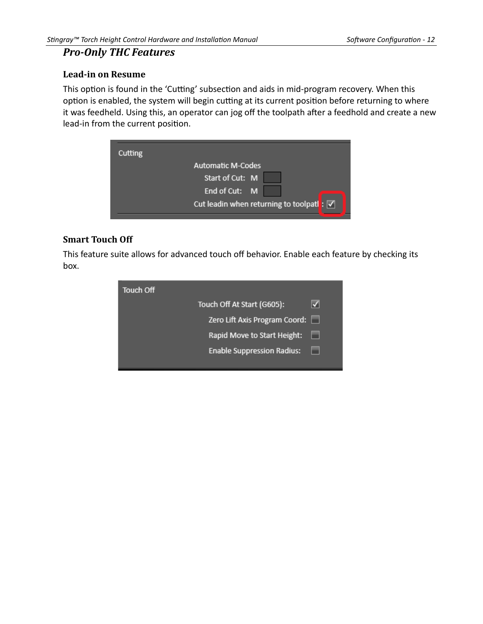## <span id="page-14-2"></span>*Pro-Only THC Features*

#### <span id="page-14-1"></span>**Lead-in on Resume**

This option is found in the 'Cutting' subsection and aids in mid-program recovery. When this option is enabled, the system will begin cutting at its current position before returning to where it was feedheld. Using this, an operator can jog off the toolpath after a feedhold and create a new lead-in from the current position.

| Cutting |                                                                 |
|---------|-----------------------------------------------------------------|
|         | <b>Automatic M-Codes</b>                                        |
|         | Start of Cut: M                                                 |
|         | End of Cut: M                                                   |
|         | Cut leadin when returning to toolpatl: $\vert \checkmark \vert$ |
|         |                                                                 |

#### <span id="page-14-0"></span>**Smart Touch Off**

This feature suite allows for advanced touch off behavior. Enable each feature by checking its box.

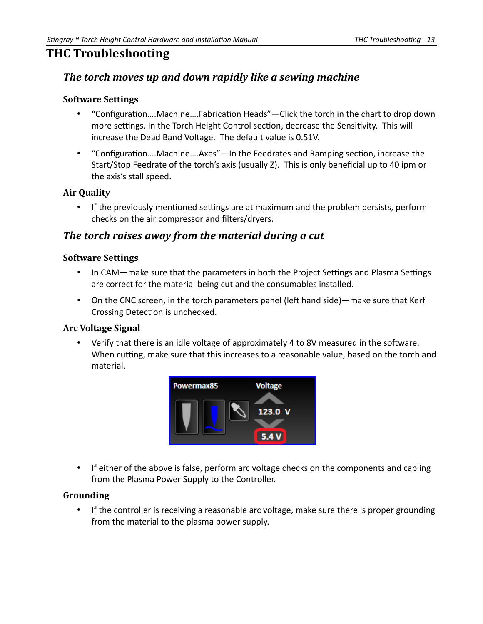# <span id="page-15-6"></span>**THC Troubleshooting**

# <span id="page-15-5"></span>*The torch moves up and down rapidly like a sewing machine*

#### <span id="page-15-4"></span>**Software Settings**

- "Configuration….Machine….Fabrication Heads"—Click the torch in the chart to drop down more settings. In the Torch Height Control section, decrease the Sensitivity. This will increase the Dead Band Voltage. The default value is 0.51V.
- "Configuration….Machine….Axes"—In the Feedrates and Ramping section, increase the Start/Stop Feedrate of the torch's axis (usually Z). This is only beneficial up to 40 ipm or the axis's stall speed.

#### <span id="page-15-3"></span>**Air Quality**

• If the previously mentioned settings are at maximum and the problem persists, perform checks on the air compressor and filters/dryers.

## <span id="page-15-2"></span>*The torch raises away from the material during a cut*

#### <span id="page-15-1"></span>**Software Settings**

- In CAM—make sure that the parameters in both the Project Settings and Plasma Settings are correct for the material being cut and the consumables installed.
- On the CNC screen, in the torch parameters panel (left hand side)—make sure that Kerf Crossing Detection is unchecked.

#### <span id="page-15-0"></span>**Arc Voltage Signal**

• Verify that there is an idle voltage of approximately 4 to 8V measured in the software. When cutting, make sure that this increases to a reasonable value, based on the torch and material.



• If either of the above is false, perform arc voltage checks on the components and cabling from the Plasma Power Supply to the Controller.

#### <span id="page-15-7"></span>**Grounding**

• If the controller is receiving a reasonable arc voltage, make sure there is proper grounding from the material to the plasma power supply.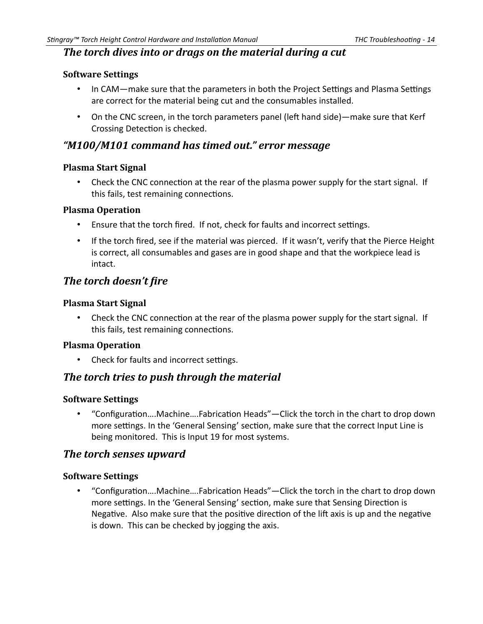## <span id="page-16-11"></span>*The torch dives into or drags on the material during a cut*

#### <span id="page-16-10"></span>**Software Settings**

- In CAM—make sure that the parameters in both the Project Settings and Plasma Settings are correct for the material being cut and the consumables installed.
- On the CNC screen, in the torch parameters panel (left hand side)—make sure that Kerf Crossing Detection is checked.

## <span id="page-16-9"></span>*"M100/M101 command has timed out." error message*

#### <span id="page-16-8"></span>**Plasma Start Signal**

• Check the CNC connection at the rear of the plasma power supply for the start signal. If this fails, test remaining connections.

#### <span id="page-16-7"></span>**Plasma Operation**

- Ensure that the torch fired. If not, check for faults and incorrect settings.
- If the torch fired, see if the material was pierced. If it wasn't, verify that the Pierce Height is correct, all consumables and gases are in good shape and that the workpiece lead is intact.

## <span id="page-16-6"></span>*The torch doesn't fire*

#### <span id="page-16-5"></span>**Plasma Start Signal**

• Check the CNC connection at the rear of the plasma power supply for the start signal. If this fails, test remaining connections.

#### <span id="page-16-4"></span>**Plasma Operation**

• Check for faults and incorrect settings.

#### <span id="page-16-3"></span>*The torch tries to push through the material*

#### <span id="page-16-2"></span>**Software Settings**

• "Configuration….Machine….Fabrication Heads"—Click the torch in the chart to drop down more settings. In the 'General Sensing' section, make sure that the correct Input Line is being monitored. This is Input 19 for most systems.

#### <span id="page-16-1"></span>*The torch senses upward*

#### <span id="page-16-0"></span>**Software Settings**

• "Configuration….Machine….Fabrication Heads"—Click the torch in the chart to drop down more settings. In the 'General Sensing' section, make sure that Sensing Direction is Negative. Also make sure that the positive direction of the lift axis is up and the negative is down. This can be checked by jogging the axis.